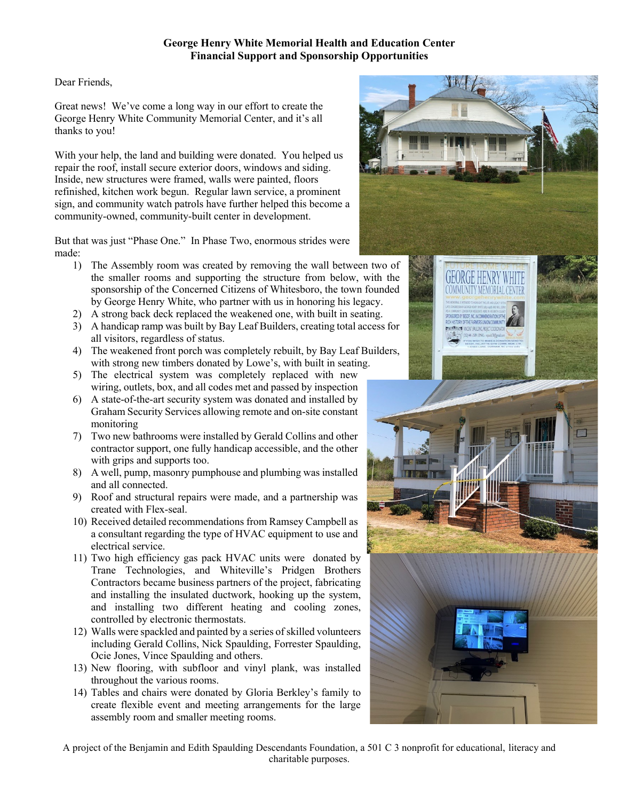## **George Henry White Memorial Health and Education Center Financial Support and Sponsorship Opportunities**

Dear Friends,

Great news! We've come a long way in our effort to create the George Henry White Community Memorial Center, and it's all thanks to you!

With your help, the land and building were donated. You helped us repair the roof, install secure exterior doors, windows and siding. Inside, new structures were framed, walls were painted, floors refinished, kitchen work begun. Regular lawn service, a prominent sign, and community watch patrols have further helped this become a community-owned, community-built center in development.

But that was just "Phase One." In Phase Two, enormous strides were made:

- 1) The Assembly room was created by removing the wall between two of the smaller rooms and supporting the structure from below, with the sponsorship of the Concerned Citizens of Whitesboro, the town founded by George Henry White, who partner with us in honoring his legacy.
- 2) A strong back deck replaced the weakened one, with built in seating.
- 3) A handicap ramp was built by Bay Leaf Builders, creating total access for all visitors, regardless of status.
- 4) The weakened front porch was completely rebuilt, by Bay Leaf Builders, with strong new timbers donated by Lowe's, with built in seating.
- 5) The electrical system was completely replaced with new wiring, outlets, box, and all codes met and passed by inspection
- 6) A state-of-the-art security system was donated and installed by Graham Security Services allowing remote and on-site constant monitoring
- 7) Two new bathrooms were installed by Gerald Collins and other contractor support, one fully handicap accessible, and the other with grips and supports too.
- 8) A well, pump, masonry pumphouse and plumbing was installed and all connected.
- 9) Roof and structural repairs were made, and a partnership was created with Flex-seal.
- 10) Received detailed recommendations from Ramsey Campbell as a consultant regarding the type of HVAC equipment to use and electrical service.
- 11) Two high efficiency gas pack HVAC units were donated by Trane Technologies, and Whiteville's Pridgen Brothers Contractors became business partners of the project, fabricating and installing the insulated ductwork, hooking up the system, and installing two different heating and cooling zones, controlled by electronic thermostats.
- 12) Walls were spackled and painted by a series of skilled volunteers including Gerald Collins, Nick Spaulding, Forrester Spaulding, Ocie Jones, Vince Spaulding and others.
- 13) New flooring, with subfloor and vinyl plank, was installed throughout the various rooms.
- 14) Tables and chairs were donated by Gloria Berkley's family to create flexible event and meeting arrangements for the large assembly room and smaller meeting rooms.



A project of the Benjamin and Edith Spaulding Descendants Foundation, a 501 C 3 nonprofit for educational, literacy and charitable purposes.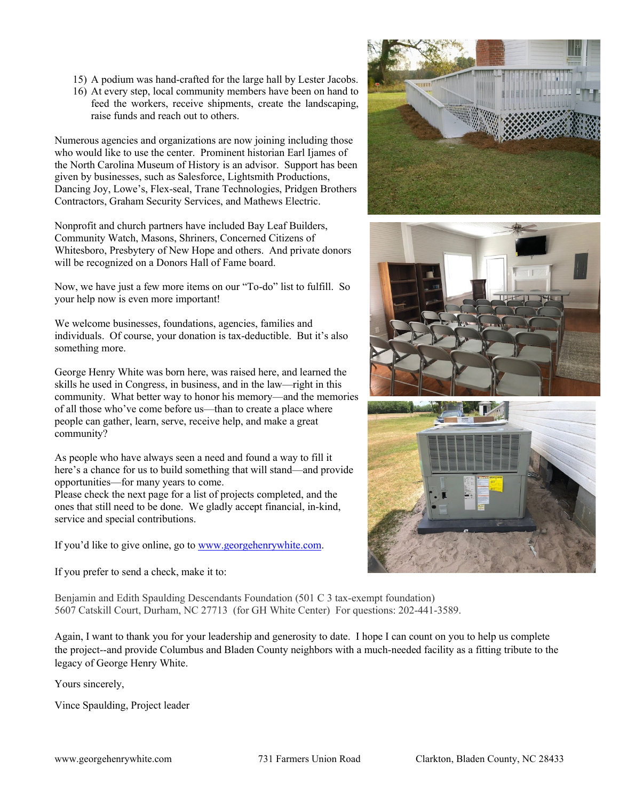- 15) A podium was hand-crafted for the large hall by Lester Jacobs.
- 16) At every step, local community members have been on hand to feed the workers, receive shipments, create the landscaping, raise funds and reach out to others.

Numerous agencies and organizations are now joining including those who would like to use the center. Prominent historian Earl Ijames of the North Carolina Museum of History is an advisor. Support has been given by businesses, such as Salesforce, Lightsmith Productions, Dancing Joy, Lowe's, Flex-seal, Trane Technologies, Pridgen Brothers Contractors, Graham Security Services, and Mathews Electric.

Nonprofit and church partners have included Bay Leaf Builders, Community Watch, Masons, Shriners, Concerned Citizens of Whitesboro, Presbytery of New Hope and others. And private donors will be recognized on a Donors Hall of Fame board.

Now, we have just a few more items on our "To-do" list to fulfill. So your help now is even more important!

We welcome businesses, foundations, agencies, families and individuals. Of course, your donation is tax-deductible. But it's also something more.

George Henry White was born here, was raised here, and learned the skills he used in Congress, in business, and in the law—right in this community. What better way to honor his memory—and the memories of all those who've come before us—than to create a place where people can gather, learn, serve, receive help, and make a great community?

As people who have always seen a need and found a way to fill it here's a chance for us to build something that will stand—and provide opportunities—for many years to come.

Please check the next page for a list of projects completed, and the ones that still need to be done. We gladly accept financial, in-kind, service and special contributions.

If you'd like to give online, go to [www.georgehenrywhite.com.](http://www.georgehenrywhite.com/)

If you prefer to send a check, make it to:





Benjamin and Edith Spaulding Descendants Foundation (501 C 3 tax-exempt foundation) 5607 Catskill Court, Durham, NC 27713 (for GH White Center) For questions: 202-441-3589.

Again, I want to thank you for your leadership and generosity to date. I hope I can count on you to help us complete the project--and provide Columbus and Bladen County neighbors with a much-needed facility as a fitting tribute to the legacy of George Henry White.

Yours sincerely,

Vince Spaulding, Project leader